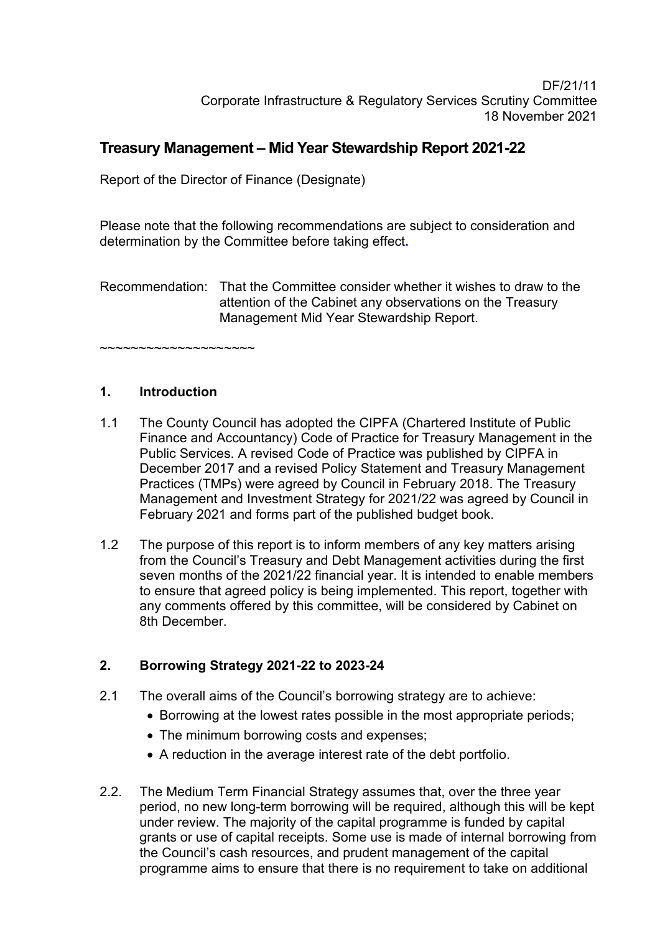### DF/21/11 Corporate Infrastructure & Regulatory Services Scrutiny Committee 18 November 2021

# **Treasury Management – Mid Year Stewardship Report 2021-22**

Report of the Director of Finance (Designate)

Please note that the following recommendations are subject to consideration and determination by the Committee before taking effect**.** 

Recommendation: That the Committee consider whether it wishes to draw to the attention of the Cabinet any observations on the Treasury Management Mid Year Stewardship Report.

~~~~~~~~~~~~~~~~~~~~

# **1. Introduction**

- 1.1 The County Council has adopted the CIPFA (Chartered Institute of Public Finance and Accountancy) Code of Practice for Treasury Management in the Public Services. A revised Code of Practice was published by CIPFA in December 2017 and a revised Policy Statement and Treasury Management Practices (TMPs) were agreed by Council in February 2018. The Treasury Management and Investment Strategy for 2021/22 was agreed by Council in February 2021 and forms part of the published budget book.
- 1.2 The purpose of this report is to inform members of any key matters arising from the Council's Treasury and Debt Management activities during the first seven months of the 2021/22 financial year. It is intended to enable members to ensure that agreed policy is being implemented. This report, together with any comments offered by this committee, will be considered by Cabinet on 8th December.

# **2. Borrowing Strategy 2021-22 to 2023-24**

- 2.1 The overall aims of the Council's borrowing strategy are to achieve:
	- Borrowing at the lowest rates possible in the most appropriate periods;
	- The minimum borrowing costs and expenses;
	- A reduction in the average interest rate of the debt portfolio.
- 2.2. The Medium Term Financial Strategy assumes that, over the three year period, no new long-term borrowing will be required, although this will be kept under review. The majority of the capital programme is funded by capital grants or use of capital receipts. Some use is made of internal borrowing from the Council's cash resources, and prudent management of the capital programme aims to ensure that there is no requirement to take on additional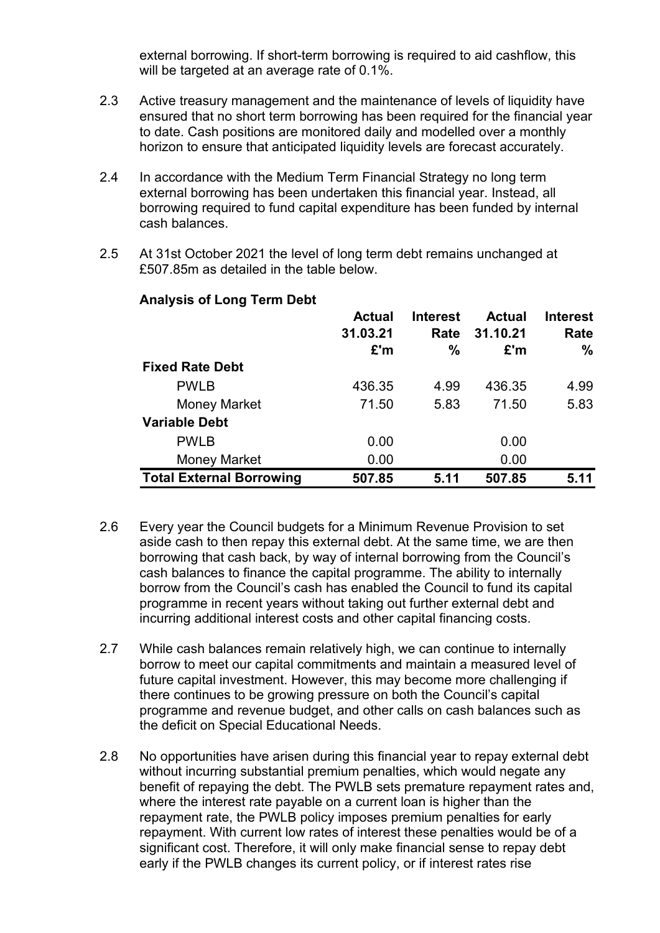external borrowing. If short-term borrowing is required to aid cashflow, this will be targeted at an average rate of 0.1%.

- 2.3 Active treasury management and the maintenance of levels of liquidity have ensured that no short term borrowing has been required for the financial year to date. Cash positions are monitored daily and modelled over a monthly horizon to ensure that anticipated liquidity levels are forecast accurately.
- 2.4 In accordance with the Medium Term Financial Strategy no long term external borrowing has been undertaken this financial year. Instead, all borrowing required to fund capital expenditure has been funded by internal cash balances.
- 2.5 At 31st October 2021 the level of long term debt remains unchanged at £507.85m as detailed in the table below.

|                                 | <b>Actual</b><br>31.03.21<br>£'m | <b>Interest</b><br>Rate<br>% | <b>Actual</b><br>31.10.21<br>£'m | <b>Interest</b><br>Rate<br>$\%$ |
|---------------------------------|----------------------------------|------------------------------|----------------------------------|---------------------------------|
| <b>Fixed Rate Debt</b>          |                                  |                              |                                  |                                 |
| <b>PWLB</b>                     | 436.35                           | 4.99                         | 436.35                           | 4.99                            |
| <b>Money Market</b>             | 71.50                            | 5.83                         | 71.50                            | 5.83                            |
| <b>Variable Debt</b>            |                                  |                              |                                  |                                 |
| <b>PWLB</b>                     | 0.00                             |                              | 0.00                             |                                 |
| Money Market                    | 0.00                             |                              | 0.00                             |                                 |
| <b>Total External Borrowing</b> | 507.85                           | 5.11                         | 507.85                           | 5.11                            |

#### **Analysis of Long Term Debt**

- 2.6 Every year the Council budgets for a Minimum Revenue Provision to set aside cash to then repay this external debt. At the same time, we are then borrowing that cash back, by way of internal borrowing from the Council's cash balances to finance the capital programme. The ability to internally borrow from the Council's cash has enabled the Council to fund its capital programme in recent years without taking out further external debt and incurring additional interest costs and other capital financing costs.
- 2.7 While cash balances remain relatively high, we can continue to internally borrow to meet our capital commitments and maintain a measured level of future capital investment. However, this may become more challenging if there continues to be growing pressure on both the Council's capital programme and revenue budget, and other calls on cash balances such as the deficit on Special Educational Needs.
- 2.8 No opportunities have arisen during this financial year to repay external debt without incurring substantial premium penalties, which would negate any benefit of repaying the debt. The PWLB sets premature repayment rates and, where the interest rate payable on a current loan is higher than the repayment rate, the PWLB policy imposes premium penalties for early repayment. With current low rates of interest these penalties would be of a significant cost. Therefore, it will only make financial sense to repay debt early if the PWLB changes its current policy, or if interest rates rise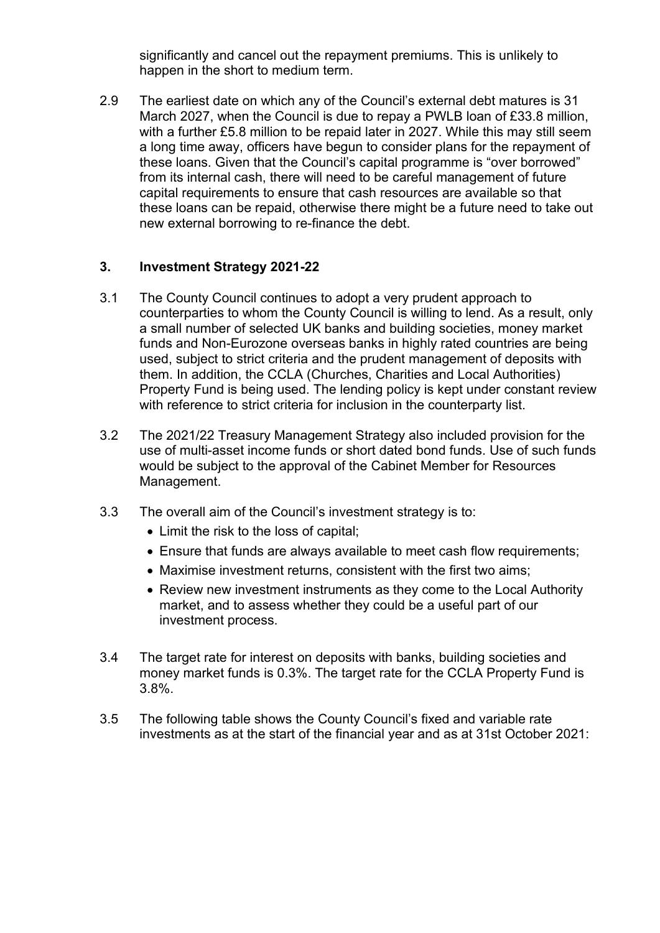significantly and cancel out the repayment premiums. This is unlikely to happen in the short to medium term.

2.9 The earliest date on which any of the Council's external debt matures is 31 March 2027, when the Council is due to repay a PWLB loan of £33.8 million, with a further £5.8 million to be repaid later in 2027. While this may still seem a long time away, officers have begun to consider plans for the repayment of these loans. Given that the Council's capital programme is "over borrowed" from its internal cash, there will need to be careful management of future capital requirements to ensure that cash resources are available so that these loans can be repaid, otherwise there might be a future need to take out new external borrowing to re-finance the debt.

## **3. Investment Strategy 2021-22**

- 3.1 The County Council continues to adopt a very prudent approach to counterparties to whom the County Council is willing to lend. As a result, only a small number of selected UK banks and building societies, money market funds and Non-Eurozone overseas banks in highly rated countries are being used, subject to strict criteria and the prudent management of deposits with them. In addition, the CCLA (Churches, Charities and Local Authorities) Property Fund is being used. The lending policy is kept under constant review with reference to strict criteria for inclusion in the counterparty list.
- 3.2 The 2021/22 Treasury Management Strategy also included provision for the use of multi-asset income funds or short dated bond funds. Use of such funds would be subject to the approval of the Cabinet Member for Resources Management.
- 3.3 The overall aim of the Council's investment strategy is to:
	- Limit the risk to the loss of capital;
	- Ensure that funds are always available to meet cash flow requirements;
	- Maximise investment returns, consistent with the first two aims;
	- Review new investment instruments as they come to the Local Authority market, and to assess whether they could be a useful part of our investment process.
- 3.4 The target rate for interest on deposits with banks, building societies and money market funds is 0.3%. The target rate for the CCLA Property Fund is 3.8%.
- 3.5 The following table shows the County Council's fixed and variable rate investments as at the start of the financial year and as at 31st October 2021: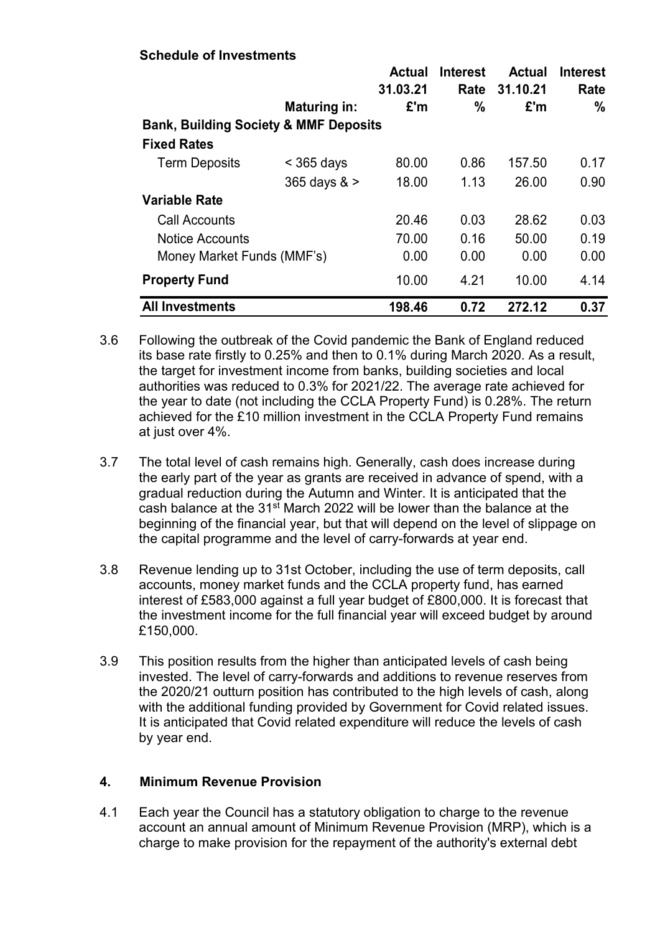#### **Schedule of Investments**

|                                                  |                     | <b>Actual</b><br>31.03.21 | <b>Interest</b><br>Rate | <b>Actual</b><br>31.10.21 | <b>Interest</b><br>Rate |  |  |  |
|--------------------------------------------------|---------------------|---------------------------|-------------------------|---------------------------|-------------------------|--|--|--|
|                                                  | <b>Maturing in:</b> | E'm                       | $\frac{0}{0}$           | E'm                       | %                       |  |  |  |
| <b>Bank, Building Society &amp; MMF Deposits</b> |                     |                           |                         |                           |                         |  |  |  |
| <b>Fixed Rates</b>                               |                     |                           |                         |                           |                         |  |  |  |
| <b>Term Deposits</b>                             | $<$ 365 days        | 80.00                     | 0.86                    | 157.50                    | 0.17                    |  |  |  |
|                                                  | $365$ days $>$      | 18.00                     | 1.13                    | 26.00                     | 0.90                    |  |  |  |
| <b>Variable Rate</b>                             |                     |                           |                         |                           |                         |  |  |  |
| Call Accounts                                    |                     | 20.46                     | 0.03                    | 28.62                     | 0.03                    |  |  |  |
| <b>Notice Accounts</b>                           |                     | 70.00                     | 0.16                    | 50.00                     | 0.19                    |  |  |  |
| Money Market Funds (MMF's)                       |                     | 0.00                      | 0.00                    | 0.00                      | 0.00                    |  |  |  |
| <b>Property Fund</b>                             |                     | 10.00                     | 4.21                    | 10.00                     | 4.14                    |  |  |  |
| <b>All Investments</b>                           |                     | 198.46                    | 0.72                    | 272.12                    | 0.37                    |  |  |  |

- 3.6 Following the outbreak of the Covid pandemic the Bank of England reduced its base rate firstly to 0.25% and then to 0.1% during March 2020. As a result, the target for investment income from banks, building societies and local authorities was reduced to 0.3% for 2021/22. The average rate achieved for the year to date (not including the CCLA Property Fund) is 0.28%. The return achieved for the £10 million investment in the CCLA Property Fund remains at just over 4%.
- 3.7 The total level of cash remains high. Generally, cash does increase during the early part of the year as grants are received in advance of spend, with a gradual reduction during the Autumn and Winter. It is anticipated that the cash balance at the 31<sup>st</sup> March 2022 will be lower than the balance at the beginning of the financial year, but that will depend on the level of slippage on the capital programme and the level of carry-forwards at year end.
- 3.8 Revenue lending up to 31st October, including the use of term deposits, call accounts, money market funds and the CCLA property fund, has earned interest of £583,000 against a full year budget of £800,000. It is forecast that the investment income for the full financial year will exceed budget by around £150,000.
- 3.9 This position results from the higher than anticipated levels of cash being invested. The level of carry-forwards and additions to revenue reserves from the 2020/21 outturn position has contributed to the high levels of cash, along with the additional funding provided by Government for Covid related issues. It is anticipated that Covid related expenditure will reduce the levels of cash by year end.

#### **4. Minimum Revenue Provision**

4.1 Each year the Council has a statutory obligation to charge to the revenue account an annual amount of Minimum Revenue Provision (MRP), which is a charge to make provision for the repayment of the authority's external debt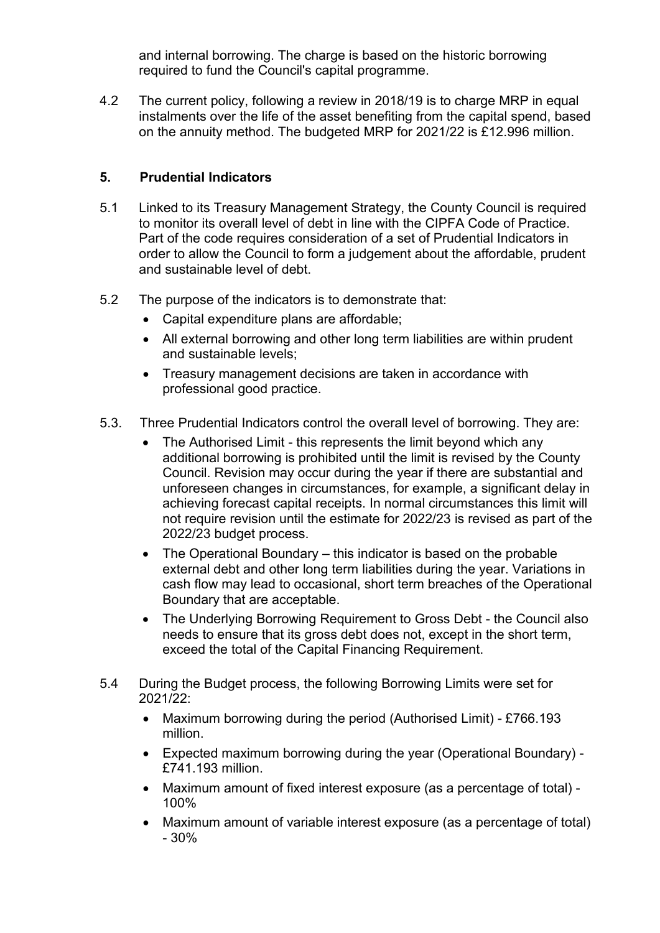and internal borrowing. The charge is based on the historic borrowing required to fund the Council's capital programme.

4.2 The current policy, following a review in 2018/19 is to charge MRP in equal instalments over the life of the asset benefiting from the capital spend, based on the annuity method. The budgeted MRP for 2021/22 is £12.996 million.

# **5. Prudential Indicators**

- 5.1 Linked to its Treasury Management Strategy, the County Council is required to monitor its overall level of debt in line with the CIPFA Code of Practice. Part of the code requires consideration of a set of Prudential Indicators in order to allow the Council to form a judgement about the affordable, prudent and sustainable level of debt.
- 5.2 The purpose of the indicators is to demonstrate that:
	- Capital expenditure plans are affordable;
	- All external borrowing and other long term liabilities are within prudent and sustainable levels;
	- Treasury management decisions are taken in accordance with professional good practice.
- 5.3. Three Prudential Indicators control the overall level of borrowing. They are:
	- The Authorised Limit this represents the limit beyond which any additional borrowing is prohibited until the limit is revised by the County Council. Revision may occur during the year if there are substantial and unforeseen changes in circumstances, for example, a significant delay in achieving forecast capital receipts. In normal circumstances this limit will not require revision until the estimate for 2022/23 is revised as part of the 2022/23 budget process.
	- The Operational Boundary this indicator is based on the probable external debt and other long term liabilities during the year. Variations in cash flow may lead to occasional, short term breaches of the Operational Boundary that are acceptable.
	- The Underlying Borrowing Requirement to Gross Debt the Council also needs to ensure that its gross debt does not, except in the short term, exceed the total of the Capital Financing Requirement.
- 5.4 During the Budget process, the following Borrowing Limits were set for 2021/22:
	- Maximum borrowing during the period (Authorised Limit) £766.193 million.
	- Expected maximum borrowing during the year (Operational Boundary) £741.193 million.
	- Maximum amount of fixed interest exposure (as a percentage of total) 100%
	- Maximum amount of variable interest exposure (as a percentage of total) - 30%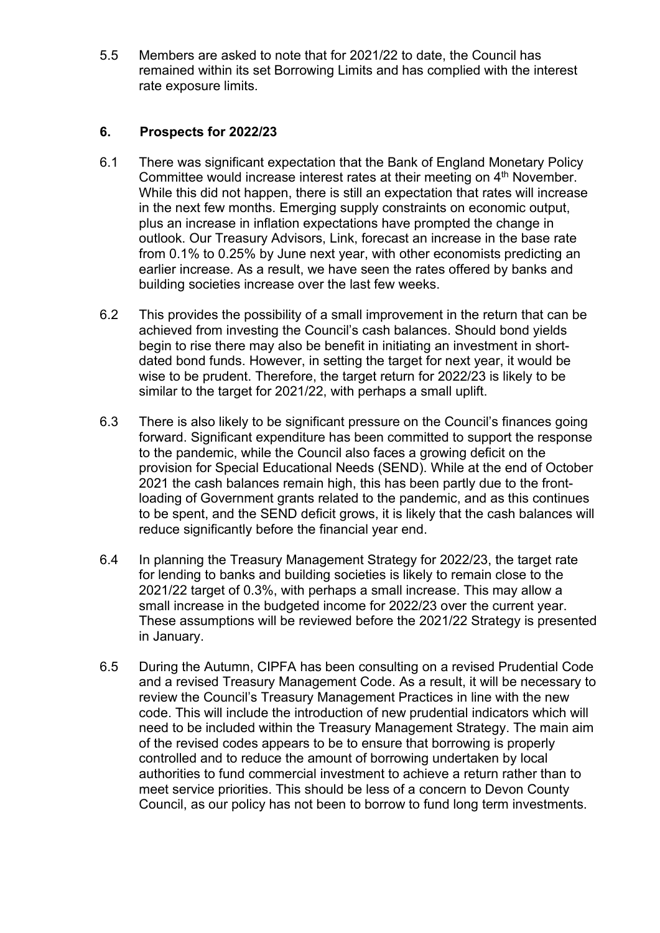5.5 Members are asked to note that for 2021/22 to date, the Council has remained within its set Borrowing Limits and has complied with the interest rate exposure limits.

### **6. Prospects for 2022/23**

- 6.1 There was significant expectation that the Bank of England Monetary Policy Committee would increase interest rates at their meeting on 4<sup>th</sup> November. While this did not happen, there is still an expectation that rates will increase in the next few months. Emerging supply constraints on economic output, plus an increase in inflation expectations have prompted the change in outlook. Our Treasury Advisors, Link, forecast an increase in the base rate from 0.1% to 0.25% by June next year, with other economists predicting an earlier increase. As a result, we have seen the rates offered by banks and building societies increase over the last few weeks.
- 6.2 This provides the possibility of a small improvement in the return that can be achieved from investing the Council's cash balances. Should bond yields begin to rise there may also be benefit in initiating an investment in shortdated bond funds. However, in setting the target for next year, it would be wise to be prudent. Therefore, the target return for 2022/23 is likely to be similar to the target for 2021/22, with perhaps a small uplift.
- 6.3 There is also likely to be significant pressure on the Council's finances going forward. Significant expenditure has been committed to support the response to the pandemic, while the Council also faces a growing deficit on the provision for Special Educational Needs (SEND). While at the end of October 2021 the cash balances remain high, this has been partly due to the frontloading of Government grants related to the pandemic, and as this continues to be spent, and the SEND deficit grows, it is likely that the cash balances will reduce significantly before the financial year end.
- 6.4 In planning the Treasury Management Strategy for 2022/23, the target rate for lending to banks and building societies is likely to remain close to the 2021/22 target of 0.3%, with perhaps a small increase. This may allow a small increase in the budgeted income for 2022/23 over the current year. These assumptions will be reviewed before the 2021/22 Strategy is presented in January.
- 6.5 During the Autumn, CIPFA has been consulting on a revised Prudential Code and a revised Treasury Management Code. As a result, it will be necessary to review the Council's Treasury Management Practices in line with the new code. This will include the introduction of new prudential indicators which will need to be included within the Treasury Management Strategy. The main aim of the revised codes appears to be to ensure that borrowing is properly controlled and to reduce the amount of borrowing undertaken by local authorities to fund commercial investment to achieve a return rather than to meet service priorities. This should be less of a concern to Devon County Council, as our policy has not been to borrow to fund long term investments.